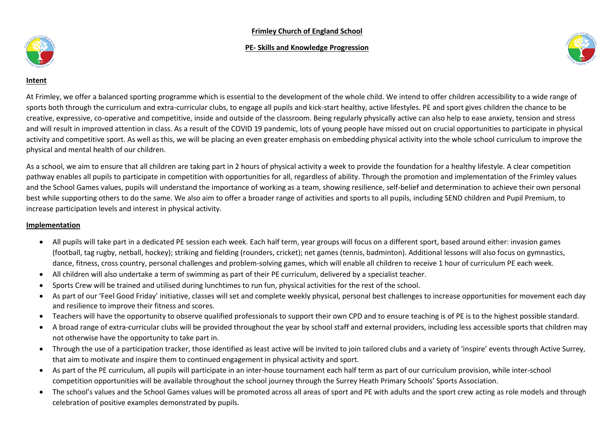#### **Frimley Church of England School**

#### **PE- Skills and Knowledge Progression**





#### **Intent**

At Frimley, we offer a balanced sporting programme which is essential to the development of the whole child. We intend to offer children accessibility to a wide range of sports both through the curriculum and extra-curricular clubs, to engage all pupils and kick-start healthy, active lifestyles. PE and sport gives children the chance to be creative, expressive, co-operative and competitive, inside and outside of the classroom. Being regularly physically active can also help to ease anxiety, tension and stress and will result in improved attention in class. As a result of the COVID 19 pandemic, lots of young people have missed out on crucial opportunities to participate in physical activity and competitive sport. As well as this, we will be placing an even greater emphasis on embedding physical activity into the whole school curriculum to improve the physical and mental health of our children.

As a school, we aim to ensure that all children are taking part in 2 hours of physical activity a week to provide the foundation for a healthy lifestyle. A clear competition pathway enables all pupils to participate in competition with opportunities for all, regardless of ability. Through the promotion and implementation of the Frimley values and the School Games values, pupils will understand the importance of working as a team, showing resilience, self-belief and determination to achieve their own personal best while supporting others to do the same. We also aim to offer a broader range of activities and sports to all pupils, including SEND children and Pupil Premium, to increase participation levels and interest in physical activity.

#### **Implementation**

- All pupils will take part in a dedicated PE session each week. Each half term, year groups will focus on a different sport, based around either: invasion games (football, tag rugby, netball, hockey); striking and fielding (rounders, cricket); net games (tennis, badminton). Additional lessons will also focus on gymnastics, dance, fitness, cross country, personal challenges and problem-solving games, which will enable all children to receive 1 hour of curriculum PE each week.
- All children will also undertake a term of swimming as part of their PE curriculum, delivered by a specialist teacher.
- Sports Crew will be trained and utilised during lunchtimes to run fun, physical activities for the rest of the school.
- As part of our 'Feel Good Friday' initiative, classes will set and complete weekly physical, personal best challenges to increase opportunities for movement each day and resilience to improve their fitness and scores.
- Teachers will have the opportunity to observe qualified professionals to support their own CPD and to ensure teaching is of PE is to the highest possible standard.
- A broad range of extra-curricular clubs will be provided throughout the year by school staff and external providers, including less accessible sports that children may not otherwise have the opportunity to take part in.
- Through the use of a participation tracker, those identified as least active will be invited to join tailored clubs and a variety of 'inspire' events through Active Surrey, that aim to motivate and inspire them to continued engagement in physical activity and sport.
- As part of the PE curriculum, all pupils will participate in an inter-house tournament each half term as part of our curriculum provision, while inter-school competition opportunities will be available throughout the school journey through the Surrey Heath Primary Schools' Sports Association.
- The school's values and the School Games values will be promoted across all areas of sport and PE with adults and the sport crew acting as role models and through celebration of positive examples demonstrated by pupils.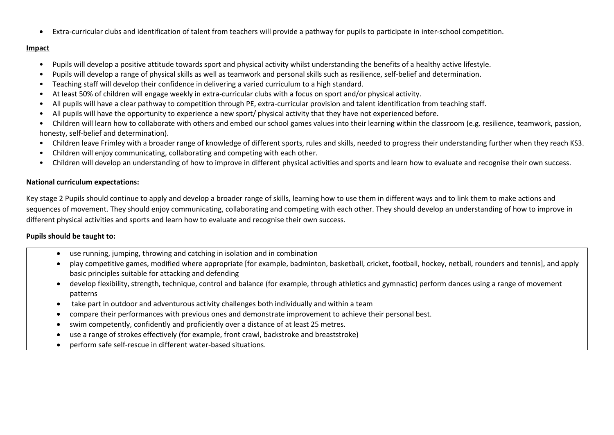Extra-curricular clubs and identification of talent from teachers will provide a pathway for pupils to participate in inter-school competition.

#### **Impact**

- Pupils will develop a positive attitude towards sport and physical activity whilst understanding the benefits of a healthy active lifestyle.
- Pupils will develop a range of physical skills as well as teamwork and personal skills such as resilience, self-belief and determination.
- Teaching staff will develop their confidence in delivering a varied curriculum to a high standard.
- At least 50% of children will engage weekly in extra-curricular clubs with a focus on sport and/or physical activity.
- All pupils will have a clear pathway to competition through PE, extra-curricular provision and talent identification from teaching staff.
- All pupils will have the opportunity to experience a new sport/ physical activity that they have not experienced before.
- Children will learn how to collaborate with others and embed our school games values into their learning within the classroom (e.g. resilience, teamwork, passion, honesty, self-belief and determination).
- Children leave Frimley with a broader range of knowledge of different sports, rules and skills, needed to progress their understanding further when they reach KS3.
- Children will enjoy communicating, collaborating and competing with each other.
- Children will develop an understanding of how to improve in different physical activities and sports and learn how to evaluate and recognise their own success.

## **National curriculum expectations:**

Key stage 2 Pupils should continue to apply and develop a broader range of skills, learning how to use them in different ways and to link them to make actions and sequences of movement. They should enjoy communicating, collaborating and competing with each other. They should develop an understanding of how to improve in different physical activities and sports and learn how to evaluate and recognise their own success.

## **Pupils should be taught to:**

- use running, jumping, throwing and catching in isolation and in combination
- play competitive games, modified where appropriate [for example, badminton, basketball, cricket, football, hockey, netball, rounders and tennis], and apply basic principles suitable for attacking and defending
- develop flexibility, strength, technique, control and balance (for example, through athletics and gymnastic) perform dances using a range of movement patterns
- take part in outdoor and adventurous activity challenges both individually and within a team
- compare their performances with previous ones and demonstrate improvement to achieve their personal best.
- swim competently, confidently and proficiently over a distance of at least 25 metres.
- use a range of strokes effectively (for example, front crawl, backstroke and breaststroke)
- perform safe self-rescue in different water-based situations.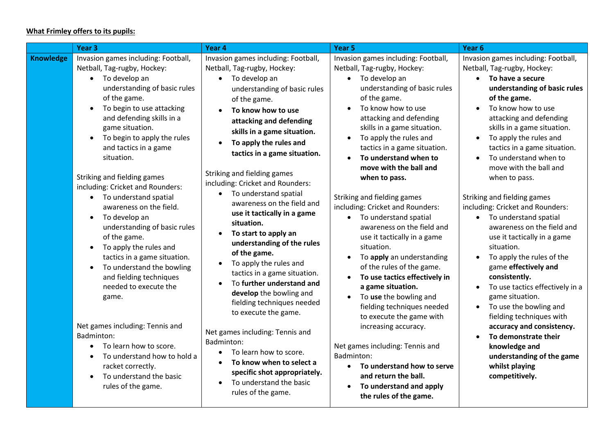# **What Frimley offers to its pupils:**

|                  | Year <sub>3</sub>                                                                                                                                                                                                                                                                                                                                                                                                                                                                                                                                                                                                                                                                                                                                                                                                                                                                                                            | Year 4                                                                                                                                                                                                                                                                                                                                                                                                                                                                                                                                                                                                                                                                                                                                                                                                                                                                                                      | Year 5                                                                                                                                                                                                                                                                                                                                                                                                                                                                                                                                                                                                                                                                                                                                                                                                                                                                                                                                       | Year 6                                                                                                                                                                                                                                                                                                                                                                                                                                                                                                                                                                                                                                                                                                                                                                                                                                                                                                                                 |
|------------------|------------------------------------------------------------------------------------------------------------------------------------------------------------------------------------------------------------------------------------------------------------------------------------------------------------------------------------------------------------------------------------------------------------------------------------------------------------------------------------------------------------------------------------------------------------------------------------------------------------------------------------------------------------------------------------------------------------------------------------------------------------------------------------------------------------------------------------------------------------------------------------------------------------------------------|-------------------------------------------------------------------------------------------------------------------------------------------------------------------------------------------------------------------------------------------------------------------------------------------------------------------------------------------------------------------------------------------------------------------------------------------------------------------------------------------------------------------------------------------------------------------------------------------------------------------------------------------------------------------------------------------------------------------------------------------------------------------------------------------------------------------------------------------------------------------------------------------------------------|----------------------------------------------------------------------------------------------------------------------------------------------------------------------------------------------------------------------------------------------------------------------------------------------------------------------------------------------------------------------------------------------------------------------------------------------------------------------------------------------------------------------------------------------------------------------------------------------------------------------------------------------------------------------------------------------------------------------------------------------------------------------------------------------------------------------------------------------------------------------------------------------------------------------------------------------|----------------------------------------------------------------------------------------------------------------------------------------------------------------------------------------------------------------------------------------------------------------------------------------------------------------------------------------------------------------------------------------------------------------------------------------------------------------------------------------------------------------------------------------------------------------------------------------------------------------------------------------------------------------------------------------------------------------------------------------------------------------------------------------------------------------------------------------------------------------------------------------------------------------------------------------|
| <b>Knowledge</b> | Invasion games including: Football,<br>Netball, Tag-rugby, Hockey:<br>To develop an<br>$\bullet$<br>understanding of basic rules<br>of the game.<br>To begin to use attacking<br>$\bullet$<br>and defending skills in a<br>game situation.<br>To begin to apply the rules<br>$\bullet$<br>and tactics in a game<br>situation.<br>Striking and fielding games<br>including: Cricket and Rounders:<br>• To understand spatial<br>awareness on the field.<br>To develop an<br>$\bullet$<br>understanding of basic rules<br>of the game.<br>To apply the rules and<br>$\bullet$<br>tactics in a game situation.<br>To understand the bowling<br>$\bullet$<br>and fielding techniques<br>needed to execute the<br>game.<br>Net games including: Tennis and<br>Badminton:<br>To learn how to score.<br>To understand how to hold a<br>$\bullet$<br>racket correctly.<br>To understand the basic<br>$\bullet$<br>rules of the game. | Invasion games including: Football,<br>Netball, Tag-rugby, Hockey:<br>• To develop an<br>understanding of basic rules<br>of the game.<br>To know how to use<br>attacking and defending<br>skills in a game situation.<br>To apply the rules and<br>tactics in a game situation.<br>Striking and fielding games<br>including: Cricket and Rounders:<br>• To understand spatial<br>awareness on the field and<br>use it tactically in a game<br>situation.<br>To start to apply an<br>understanding of the rules<br>of the game.<br>To apply the rules and<br>tactics in a game situation.<br>To further understand and<br>develop the bowling and<br>fielding techniques needed<br>to execute the game.<br>Net games including: Tennis and<br>Badminton:<br>To learn how to score.<br>$\bullet$<br>To know when to select a<br>specific shot appropriately.<br>To understand the basic<br>rules of the game. | Invasion games including: Football,<br>Netball, Tag-rugby, Hockey:<br>To develop an<br>$\bullet$<br>understanding of basic rules<br>of the game.<br>To know how to use<br>attacking and defending<br>skills in a game situation.<br>To apply the rules and<br>tactics in a game situation.<br>To understand when to<br>move with the ball and<br>when to pass.<br>Striking and fielding games<br>including: Cricket and Rounders:<br>• To understand spatial<br>awareness on the field and<br>use it tactically in a game<br>situation.<br>To apply an understanding<br>of the rules of the game.<br>To use tactics effectively in<br>a game situation.<br>To use the bowling and<br>fielding techniques needed<br>to execute the game with<br>increasing accuracy.<br>Net games including: Tennis and<br>Badminton:<br>To understand how to serve<br>$\bullet$<br>and return the ball.<br>To understand and apply<br>the rules of the game. | Invasion games including: Football,<br>Netball, Tag-rugby, Hockey:<br>• To have a secure<br>understanding of basic rules<br>of the game.<br>To know how to use<br>$\bullet$<br>attacking and defending<br>skills in a game situation.<br>To apply the rules and<br>$\bullet$<br>tactics in a game situation.<br>To understand when to<br>move with the ball and<br>when to pass.<br>Striking and fielding games<br>including: Cricket and Rounders:<br>• To understand spatial<br>awareness on the field and<br>use it tactically in a game<br>situation.<br>To apply the rules of the<br>$\bullet$<br>game effectively and<br>consistently.<br>To use tactics effectively in a<br>$\bullet$<br>game situation.<br>To use the bowling and<br>$\bullet$<br>fielding techniques with<br>accuracy and consistency.<br>To demonstrate their<br>$\bullet$<br>knowledge and<br>understanding of the game<br>whilst playing<br>competitively. |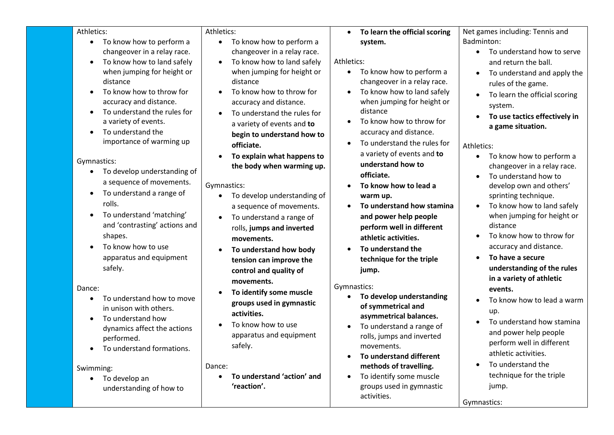| Athletics:                                                                                                                                                                                                                                                    | Athletics:                                                                                                                                                                                                                                                                              | To learn the official scoring<br>$\bullet$                                                                                                                                                                                                                              | Net games including: Tennis and                                                                                                                                                                                                                                                                                                              |
|---------------------------------------------------------------------------------------------------------------------------------------------------------------------------------------------------------------------------------------------------------------|-----------------------------------------------------------------------------------------------------------------------------------------------------------------------------------------------------------------------------------------------------------------------------------------|-------------------------------------------------------------------------------------------------------------------------------------------------------------------------------------------------------------------------------------------------------------------------|----------------------------------------------------------------------------------------------------------------------------------------------------------------------------------------------------------------------------------------------------------------------------------------------------------------------------------------------|
| To know how to perform a<br>$\bullet$<br>changeover in a relay race.<br>To know how to land safely<br>$\bullet$<br>when jumping for height or<br>distance<br>To know how to throw for<br>accuracy and distance.                                               | To know how to perform a<br>$\bullet$<br>changeover in a relay race.<br>To know how to land safely<br>$\bullet$<br>when jumping for height or<br>distance<br>To know how to throw for<br>accuracy and distance.                                                                         | system.<br>Athletics:<br>To know how to perform a<br>$\bullet$<br>changeover in a relay race.<br>To know how to land safely<br>$\bullet$<br>when jumping for height or                                                                                                  | Badminton:<br>To understand how to serve<br>$\bullet$<br>and return the ball.<br>To understand and apply the<br>$\bullet$<br>rules of the game.<br>To learn the official scoring                                                                                                                                                             |
| To understand the rules for<br>a variety of events.<br>To understand the<br>$\bullet$<br>importance of warming up                                                                                                                                             | To understand the rules for<br>a variety of events and to<br>begin to understand how to<br>officiate.                                                                                                                                                                                   | distance<br>To know how to throw for<br>accuracy and distance.<br>To understand the rules for                                                                                                                                                                           | system.<br>To use tactics effectively in<br>a game situation.<br>Athletics:                                                                                                                                                                                                                                                                  |
| Gymnastics:<br>To develop understanding of<br>a sequence of movements.<br>To understand a range of<br>$\bullet$<br>rolls.<br>To understand 'matching'<br>and 'contrasting' actions and<br>shapes.<br>To know how to use<br>apparatus and equipment<br>safely. | To explain what happens to<br>the body when warming up.<br>Gymnastics:<br>To develop understanding of<br>a sequence of movements.<br>To understand a range of<br>rolls, jumps and inverted<br>movements.<br>To understand how body<br>tension can improve the<br>control and quality of | a variety of events and to<br>understand how to<br>officiate.<br>To know how to lead a<br>warm up.<br>To understand how stamina<br>and power help people<br>perform well in different<br>athletic activities.<br>To understand the<br>technique for the triple<br>jump. | To know how to perform a<br>$\bullet$<br>changeover in a relay race.<br>To understand how to<br>develop own and others'<br>sprinting technique.<br>To know how to land safely<br>$\bullet$<br>when jumping for height or<br>distance<br>To know how to throw for<br>accuracy and distance.<br>To have a secure<br>understanding of the rules |
| Dance:<br>To understand how to move<br>in unison with others.<br>To understand how<br>dynamics affect the actions<br>performed.<br>To understand formations.<br>Swimming:                                                                                     | movements.<br>To identify some muscle<br>groups used in gymnastic<br>activities.<br>To know how to use<br>apparatus and equipment<br>safely.<br>Dance:                                                                                                                                  | Gymnastics:<br>To develop understanding<br>of symmetrical and<br>asymmetrical balances.<br>To understand a range of<br>rolls, jumps and inverted<br>movements.<br>To understand different<br>methods of travelling.                                                     | in a variety of athletic<br>events.<br>To know how to lead a warm<br>up.<br>To understand how stamina<br>and power help people<br>perform well in different<br>athletic activities.<br>To understand the                                                                                                                                     |
| To develop an<br>understanding of how to                                                                                                                                                                                                                      | To understand 'action' and<br>'reaction'.                                                                                                                                                                                                                                               | To identify some muscle<br>$\bullet$<br>groups used in gymnastic<br>activities.                                                                                                                                                                                         | technique for the triple<br>jump.<br>Gymnastics:                                                                                                                                                                                                                                                                                             |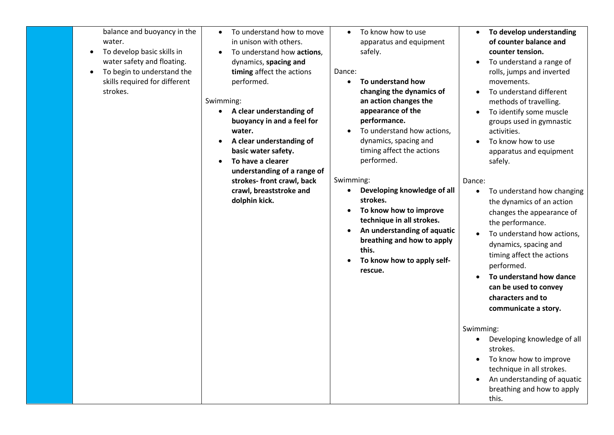| balance and buoyancy in the<br>water.<br>To develop basic skills in<br>water safety and floating.<br>To begin to understand the<br>skills required for different<br>strokes. | To understand how to move<br>$\bullet$<br>in unison with others.<br>To understand how actions,<br>$\bullet$<br>dynamics, spacing and<br>timing affect the actions<br>performed.<br>Swimming:<br>A clear understanding of<br>buoyancy in and a feel for<br>water.<br>A clear understanding of<br>$\bullet$<br>basic water safety.<br>To have a clearer<br>$\bullet$<br>understanding of a range of<br>strokes- front crawl, back<br>crawl, breaststroke and<br>dolphin kick. | To know how to use<br>$\bullet$<br>apparatus and equipment<br>safely.<br>Dance:<br>To understand how<br>$\bullet$<br>changing the dynamics of<br>an action changes the<br>appearance of the<br>performance.<br>To understand how actions,<br>$\bullet$<br>dynamics, spacing and<br>timing affect the actions<br>performed.<br>Swimming:<br>Developing knowledge of all<br>strokes.<br>To know how to improve<br>$\bullet$<br>technique in all strokes.<br>An understanding of aquatic<br>breathing and how to apply<br>this.<br>To know how to apply self-<br>rescue. | To develop understanding<br>of counter balance and<br>counter tension.<br>To understand a range of<br>rolls, jumps and inverted<br>movements.<br>To understand different<br>methods of travelling.<br>To identify some muscle<br>groups used in gymnastic<br>activities.<br>To know how to use<br>apparatus and equipment<br>safely.<br>Dance:<br>To understand how changing<br>the dynamics of an action<br>changes the appearance of<br>the performance.<br>To understand how actions,<br>dynamics, spacing and<br>timing affect the actions<br>performed.<br>To understand how dance<br>can be used to convey<br>characters and to<br>communicate a story. |
|------------------------------------------------------------------------------------------------------------------------------------------------------------------------------|-----------------------------------------------------------------------------------------------------------------------------------------------------------------------------------------------------------------------------------------------------------------------------------------------------------------------------------------------------------------------------------------------------------------------------------------------------------------------------|-----------------------------------------------------------------------------------------------------------------------------------------------------------------------------------------------------------------------------------------------------------------------------------------------------------------------------------------------------------------------------------------------------------------------------------------------------------------------------------------------------------------------------------------------------------------------|---------------------------------------------------------------------------------------------------------------------------------------------------------------------------------------------------------------------------------------------------------------------------------------------------------------------------------------------------------------------------------------------------------------------------------------------------------------------------------------------------------------------------------------------------------------------------------------------------------------------------------------------------------------|
|                                                                                                                                                                              |                                                                                                                                                                                                                                                                                                                                                                                                                                                                             |                                                                                                                                                                                                                                                                                                                                                                                                                                                                                                                                                                       | Swimming:<br>Developing knowledge of all<br>strokes.<br>To know how to improve<br>technique in all strokes.<br>An understanding of aquatic<br>breathing and how to apply<br>this.                                                                                                                                                                                                                                                                                                                                                                                                                                                                             |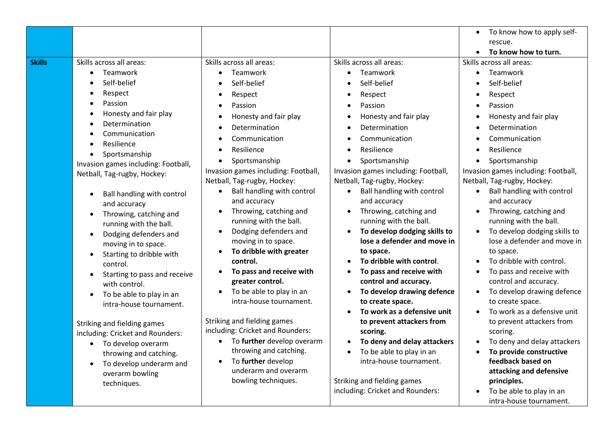|               |                                                                                                                                                                                                                                                                                                                                                                                                                                                                                                                                                                                                                                                                                                                                                         |                                                                                                                                                                                                                                                                                                                                                                                                                                                                                                                                                                                                                                                                                                                                           |                                                                                                                                                                                                                                                                                                                                                                                                                                                                                                                                                                                                                                                                                                                                                                                             | To know how to apply self-<br>$\bullet$<br>rescue.<br>To know how to turn.                                                                                                                                                                                                                                                                                                                                                                                                                                                                                                                                                                                                                                                                                                                                                                                                                                                                                                                      |
|---------------|---------------------------------------------------------------------------------------------------------------------------------------------------------------------------------------------------------------------------------------------------------------------------------------------------------------------------------------------------------------------------------------------------------------------------------------------------------------------------------------------------------------------------------------------------------------------------------------------------------------------------------------------------------------------------------------------------------------------------------------------------------|-------------------------------------------------------------------------------------------------------------------------------------------------------------------------------------------------------------------------------------------------------------------------------------------------------------------------------------------------------------------------------------------------------------------------------------------------------------------------------------------------------------------------------------------------------------------------------------------------------------------------------------------------------------------------------------------------------------------------------------------|---------------------------------------------------------------------------------------------------------------------------------------------------------------------------------------------------------------------------------------------------------------------------------------------------------------------------------------------------------------------------------------------------------------------------------------------------------------------------------------------------------------------------------------------------------------------------------------------------------------------------------------------------------------------------------------------------------------------------------------------------------------------------------------------|-------------------------------------------------------------------------------------------------------------------------------------------------------------------------------------------------------------------------------------------------------------------------------------------------------------------------------------------------------------------------------------------------------------------------------------------------------------------------------------------------------------------------------------------------------------------------------------------------------------------------------------------------------------------------------------------------------------------------------------------------------------------------------------------------------------------------------------------------------------------------------------------------------------------------------------------------------------------------------------------------|
| <b>Skills</b> | Skills across all areas:<br>Teamwork<br>Self-belief<br>Respect<br>Passion<br>Honesty and fair play<br>Determination<br>Communication<br>Resilience<br>Sportsmanship<br>$\bullet$<br>Invasion games including: Football,<br>Netball, Tag-rugby, Hockey:<br>Ball handling with control<br>and accuracy<br>Throwing, catching and<br>running with the ball.<br>Dodging defenders and<br>moving in to space.<br>Starting to dribble with<br>$\bullet$<br>control.<br>Starting to pass and receive<br>with control.<br>To be able to play in an<br>intra-house tournament.<br>Striking and fielding games<br>including: Cricket and Rounders:<br>• To develop overarm<br>throwing and catching.<br>To develop underarm and<br>overarm bowling<br>techniques. | Skills across all areas:<br>Teamwork<br>Self-belief<br>Respect<br>Passion<br>Honesty and fair play<br>Determination<br>Communication<br>Resilience<br>Sportsmanship<br>Invasion games including: Football,<br>Netball, Tag-rugby, Hockey:<br>Ball handling with control<br>and accuracy<br>Throwing, catching and<br>running with the ball.<br>Dodging defenders and<br>moving in to space.<br>To dribble with greater<br>control.<br>To pass and receive with<br>greater control.<br>To be able to play in an<br>intra-house tournament.<br>Striking and fielding games<br>including: Cricket and Rounders:<br>To further develop overarm<br>throwing and catching.<br>To further develop<br>underarm and overarm<br>bowling techniques. | Skills across all areas:<br>Teamwork<br>Self-belief<br>Respect<br>Passion<br>Honesty and fair play<br>Determination<br>Communication<br>Resilience<br>Sportsmanship<br>Invasion games including: Football,<br>Netball, Tag-rugby, Hockey:<br>Ball handling with control<br>and accuracy<br>Throwing, catching and<br>running with the ball.<br>To develop dodging skills to<br>lose a defender and move in<br>to space.<br>To dribble with control.<br>To pass and receive with<br>control and accuracy.<br>To develop drawing defence<br>to create space.<br>To work as a defensive unit<br>to prevent attackers from<br>scoring.<br>To deny and delay attackers<br>To be able to play in an<br>intra-house tournament.<br>Striking and fielding games<br>including: Cricket and Rounders: | Skills across all areas:<br>Teamwork<br>$\bullet$<br>Self-belief<br>$\bullet$<br>Respect<br>٠<br>Passion<br>$\bullet$<br>Honesty and fair play<br>٠<br>Determination<br>٠<br>Communication<br>٠<br>Resilience<br>٠<br>Sportsmanship<br>$\bullet$<br>Invasion games including: Football,<br>Netball, Tag-rugby, Hockey:<br>Ball handling with control<br>and accuracy<br>Throwing, catching and<br>$\bullet$<br>running with the ball.<br>To develop dodging skills to<br>$\bullet$<br>lose a defender and move in<br>to space.<br>To dribble with control.<br>$\bullet$<br>To pass and receive with<br>$\bullet$<br>control and accuracy.<br>To develop drawing defence<br>$\bullet$<br>to create space.<br>To work as a defensive unit<br>$\bullet$<br>to prevent attackers from<br>scoring.<br>To deny and delay attackers<br>٠<br>To provide constructive<br>feedback based on<br>attacking and defensive<br>principles.<br>To be able to play in an<br>$\bullet$<br>intra-house tournament. |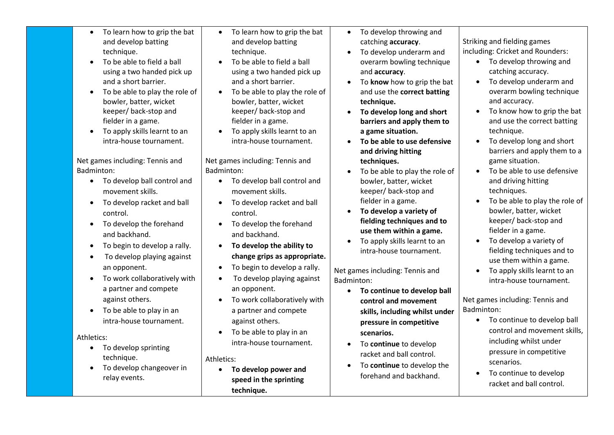| To learn how to grip the bat<br>$\bullet$<br>and develop batting<br>technique.<br>To be able to field a ball<br>using a two handed pick up<br>and a short barrier.<br>To be able to play the role of<br>bowler, batter, wicket<br>keeper/ back-stop and<br>fielder in a game.<br>To apply skills learnt to an<br>intra-house tournament.     | To learn how to grip the bat<br>$\bullet$<br>and develop batting<br>technique.<br>To be able to field a ball<br>using a two handed pick up<br>and a short barrier.<br>To be able to play the role of<br>bowler, batter, wicket<br>keeper/back-stop and<br>fielder in a game.<br>To apply skills learnt to an<br>intra-house tournament. | To develop throwing and<br>$\bullet$<br>catching accuracy.<br>To develop underarm and<br>overarm bowling technique<br>and accuracy.<br>To know how to grip the bat<br>and use the correct batting<br>technique.<br>To develop long and short<br>barriers and apply them to<br>a game situation.<br>To be able to use defensive<br>and driving hitting             | Striking and fielding games<br>including: Cricket and Rounders:<br>• To develop throwing and<br>catching accuracy.<br>To develop underarm and<br>overarm bowling technique<br>and accuracy.<br>To know how to grip the bat<br>and use the correct batting<br>technique.<br>To develop long and short<br>barriers and apply them to a          |
|----------------------------------------------------------------------------------------------------------------------------------------------------------------------------------------------------------------------------------------------------------------------------------------------------------------------------------------------|-----------------------------------------------------------------------------------------------------------------------------------------------------------------------------------------------------------------------------------------------------------------------------------------------------------------------------------------|-------------------------------------------------------------------------------------------------------------------------------------------------------------------------------------------------------------------------------------------------------------------------------------------------------------------------------------------------------------------|-----------------------------------------------------------------------------------------------------------------------------------------------------------------------------------------------------------------------------------------------------------------------------------------------------------------------------------------------|
| Net games including: Tennis and<br>Badminton:<br>• To develop ball control and<br>movement skills.<br>To develop racket and ball<br>control.<br>To develop the forehand<br>$\bullet$<br>and backhand.<br>To begin to develop a rally.<br>To develop playing against<br>an opponent.<br>To work collaboratively with<br>a partner and compete | Net games including: Tennis and<br>Badminton:<br>• To develop ball control and<br>movement skills.<br>To develop racket and ball<br>control.<br>To develop the forehand<br>and backhand.<br>To develop the ability to<br>change grips as appropriate.<br>To begin to develop a rally.<br>To develop playing against<br>an opponent.     | techniques.<br>To be able to play the role of<br>bowler, batter, wicket<br>keeper/back-stop and<br>fielder in a game.<br>To develop a variety of<br>fielding techniques and to<br>use them within a game.<br>To apply skills learnt to an<br>intra-house tournament.<br>Net games including: Tennis and<br>Badminton:<br>To continue to develop ball<br>$\bullet$ | game situation.<br>To be able to use defensive<br>and driving hitting<br>techniques.<br>To be able to play the role of<br>bowler, batter, wicket<br>keeper/back-stop and<br>fielder in a game.<br>To develop a variety of<br>fielding techniques and to<br>use them within a game.<br>To apply skills learnt to an<br>intra-house tournament. |
| against others.<br>To be able to play in an<br>intra-house tournament.<br>Athletics:<br>To develop sprinting<br>$\bullet$<br>technique.<br>To develop changeover in<br>relay events.                                                                                                                                                         | To work collaboratively with<br>a partner and compete<br>against others.<br>To be able to play in an<br>intra-house tournament.<br>Athletics:<br>To develop power and<br>$\bullet$<br>speed in the sprinting<br>technique.                                                                                                              | control and movement<br>skills, including whilst under<br>pressure in competitive<br>scenarios.<br>To continue to develop<br>racket and ball control.<br>To continue to develop the<br>forehand and backhand.                                                                                                                                                     | Net games including: Tennis and<br>Badminton:<br>To continue to develop ball<br>$\bullet$<br>control and movement skills,<br>including whilst under<br>pressure in competitive<br>scenarios.<br>To continue to develop<br>racket and ball control.                                                                                            |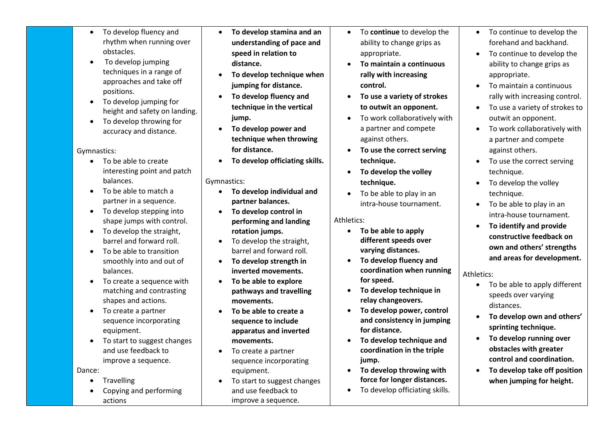- To develop fluency and rhythm when running over obstacles.
- To develop jumping techniques in a range of approaches and take off positions.
- To develop jumping for height and safety on landing.
- To develop throwing for accuracy and distance.

### Gymnastics:

- To be able to create interesting point and patch balances.
- To be able to match a partner in a sequence.
- To develop stepping into shape jumps with control.
- To develop the straight, barrel and forward roll.
- To be able to transition smoothly into and out of balances.
- To create a sequence with matching and contrasting shapes and actions.
- To create a partner sequence incorporating equipment.
- To start to suggest changes and use feedback to improve a sequence.

Dance:

- **Travelling**
- Copying and performing actions
- **To develop stamina and an understanding of pace and speed in relation to distance.**
- **To develop technique when jumping for distance.**
- **To develop fluency and technique in the vertical jump.**
- **To develop power and technique when throwing for distance.**
- **To develop officiating skills.**

# Gymnastics:

- **To develop individual and partner balances.**
- **To develop control in performing and landing rotation jumps.**
- To develop the straight. barrel and forward roll.
- **To develop strength in inverted movements.**
- **To be able to explore pathways and travelling movements.**
- **To be able to create a sequence to include apparatus and inverted movements.**
- To create a partner sequence incorporating equipment.
- To start to suggest changes and use feedback to improve a sequence.
- To **continue** to develop the ability to change grips as appropriate.
- **To maintain a continuous rally with increasing control.**
- **To use a variety of strokes to outwit an opponent.**
- To work collaboratively with a partner and compete against others.
- **To use the correct serving technique.**
- **To develop the volley technique.**
- To be able to play in an intra-house tournament.

# Athletics:

- **To be able to apply different speeds over varying distances.**
- **To develop fluency and coordination when running for speed.**
- **To develop technique in relay changeovers.**
- **To develop power, control and consistency in jumping for distance.**
- **To develop technique and coordination in the triple jump.**
- **To develop throwing with force for longer distances.**
- To develop officiating skills.
- To continue to develop the forehand and backhand.
- To continue to develop the ability to change grips as appropriate.
- To maintain a continuous rally with increasing control.
- To use a variety of strokes to outwit an opponent.
- To work collaboratively with a partner and compete against others.
- To use the correct serving technique.
- To develop the volley technique.
- To be able to play in an intra-house tournament.
- **To identify and provide constructive feedback on own and others' strengths and areas for development.**

## Athletics:

- To be able to apply different speeds over varying distances.
- **To develop own and others' sprinting technique.**
- **To develop running over obstacles with greater control and coordination.**
- **To develop take off position when jumping for height.**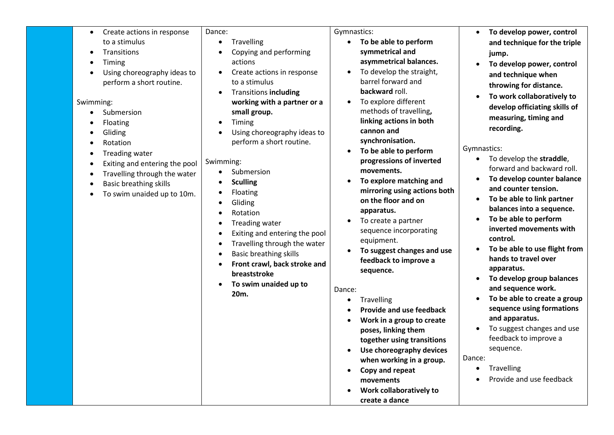| to a stimulus<br>Travelling<br>To be able to perform<br>symmetrical and<br>Transitions<br>Copying and performing<br>jump.<br>asymmetrical balances.<br>actions<br>Timing<br>$\bullet$<br>To develop the straight,<br>Using choreography ideas to<br>Create actions in response<br>barrel forward and<br>perform a short routine.<br>to a stimulus<br>backward roll.<br><b>Transitions including</b><br>To explore different<br>working with a partner or a<br>Swimming:<br>$\bullet$<br>methods of travelling,<br>small group.<br>Submersion<br>linking actions in both<br>Timing<br>Floating<br>$\bullet$<br>cannon and<br>Using choreography ideas to<br>Gliding<br>synchronisation.<br>perform a short routine.<br>Rotation<br>Gymnastics:<br>To be able to perform<br>$\bullet$<br>Treading water<br>progressions of inverted<br>Swimming:<br>Exiting and entering the pool<br>movements.<br>Submersion<br>Travelling through the water<br>To explore matching and<br>$\bullet$<br><b>Sculling</b><br><b>Basic breathing skills</b><br>mirroring using actions both<br>Floating<br>To swim unaided up to 10m.<br>on the floor and on<br>Gliding<br>apparatus.<br>Rotation<br>To create a partner | To develop power, control                                                                                                                                                                                                                                                                                                                                                                                                                                                                                                                                                                                                                                                                                                                 |
|------------------------------------------------------------------------------------------------------------------------------------------------------------------------------------------------------------------------------------------------------------------------------------------------------------------------------------------------------------------------------------------------------------------------------------------------------------------------------------------------------------------------------------------------------------------------------------------------------------------------------------------------------------------------------------------------------------------------------------------------------------------------------------------------------------------------------------------------------------------------------------------------------------------------------------------------------------------------------------------------------------------------------------------------------------------------------------------------------------------------------------------------------------------------------------------------------|-------------------------------------------------------------------------------------------------------------------------------------------------------------------------------------------------------------------------------------------------------------------------------------------------------------------------------------------------------------------------------------------------------------------------------------------------------------------------------------------------------------------------------------------------------------------------------------------------------------------------------------------------------------------------------------------------------------------------------------------|
| Treading water<br>sequence incorporating<br>Exiting and entering the pool<br>control.<br>equipment.<br>Travelling through the water<br>To suggest changes and use<br><b>Basic breathing skills</b><br>feedback to improve a<br>Front crawl, back stroke and<br>sequence.<br>breaststroke<br>$\bullet$<br>To swim unaided up to<br>Dance:<br>20m.<br>Travelling<br>$\bullet$<br>Provide and use feedback<br>$\bullet$<br>Work in a group to create<br>poses, linking them<br>together using transitions<br>Use choreography devices<br>$\bullet$<br>Dance:<br>when working in a group.<br>$\bullet$<br>Copy and repeat<br>$\bullet$                                                                                                                                                                                                                                                                                                                                                                                                                                                                                                                                                                   | and technique for the triple<br>To develop power, control<br>and technique when<br>throwing for distance.<br>To work collaboratively to<br>develop officiating skills of<br>measuring, timing and<br>recording.<br>To develop the straddle,<br>forward and backward roll.<br>To develop counter balance<br>and counter tension.<br>To be able to link partner<br>balances into a sequence.<br>To be able to perform<br>inverted movements with<br>To be able to use flight from<br>hands to travel over<br>apparatus.<br>To develop group balances<br>and sequence work.<br>To be able to create a group<br>sequence using formations<br>and apparatus.<br>To suggest changes and use<br>feedback to improve a<br>sequence.<br>Travelling |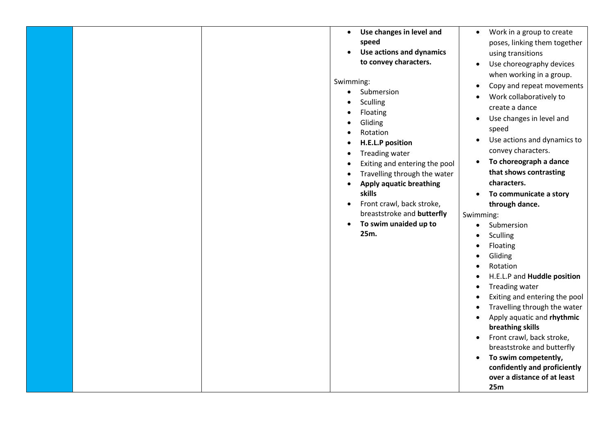|  | Use changes in level and<br>$\bullet$<br>speed<br>Use actions and dynamics<br>to convey characters.<br>Swimming:<br>Submersion<br>$\bullet$<br>Sculling<br>Floating<br>Gliding<br>Rotation<br><b>H.E.L.P position</b><br>Treading water<br>Exiting and entering the pool<br>Travelling through the water<br><b>Apply aquatic breathing</b><br>skills<br>Front crawl, back stroke,<br>$\bullet$<br>breaststroke and butterfly<br>To swim unaided up to<br>$\bullet$<br>25m. | Work in a group to create<br>$\bullet$<br>poses, linking them together<br>using transitions<br>Use choreography devices<br>$\bullet$<br>when working in a group.<br>Copy and repeat movements<br>$\bullet$<br>Work collaboratively to<br>create a dance<br>Use changes in level and<br>$\bullet$<br>speed<br>Use actions and dynamics to<br>$\bullet$<br>convey characters.<br>To choreograph a dance<br>$\bullet$<br>that shows contrasting<br>characters.<br>To communicate a story<br>$\bullet$<br>through dance.<br>Swimming:<br>Submersion<br>$\bullet$<br>Sculling<br>Floating<br>Gliding<br>Rotation<br>H.E.L.P and Huddle position<br>Treading water<br>$\bullet$<br>Exiting and entering the pool<br>$\bullet$<br>Travelling through the water<br>$\bullet$<br>Apply aquatic and rhythmic<br>$\bullet$<br>breathing skills<br>Front crawl, back stroke,<br>$\bullet$<br>breaststroke and butterfly<br>To swim competently,<br>confidently and proficiently<br>over a distance of at least<br>25m |
|--|----------------------------------------------------------------------------------------------------------------------------------------------------------------------------------------------------------------------------------------------------------------------------------------------------------------------------------------------------------------------------------------------------------------------------------------------------------------------------|-----------------------------------------------------------------------------------------------------------------------------------------------------------------------------------------------------------------------------------------------------------------------------------------------------------------------------------------------------------------------------------------------------------------------------------------------------------------------------------------------------------------------------------------------------------------------------------------------------------------------------------------------------------------------------------------------------------------------------------------------------------------------------------------------------------------------------------------------------------------------------------------------------------------------------------------------------------------------------------------------------------|
|--|----------------------------------------------------------------------------------------------------------------------------------------------------------------------------------------------------------------------------------------------------------------------------------------------------------------------------------------------------------------------------------------------------------------------------------------------------------------------------|-----------------------------------------------------------------------------------------------------------------------------------------------------------------------------------------------------------------------------------------------------------------------------------------------------------------------------------------------------------------------------------------------------------------------------------------------------------------------------------------------------------------------------------------------------------------------------------------------------------------------------------------------------------------------------------------------------------------------------------------------------------------------------------------------------------------------------------------------------------------------------------------------------------------------------------------------------------------------------------------------------------|